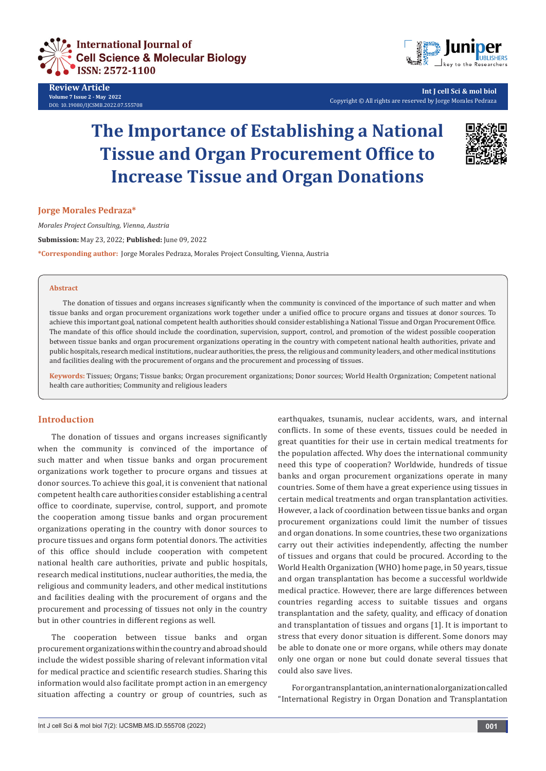

**Review Article Volume 7 Issue 2 - May 2022** DOI: [10.19080/IJCSMB.2022.07.555708](http://dx.doi.org/10.19080/IJCSMB.2022.07.555708)



**Int J cell Sci & mol biol** Copyright © All rights are reserved by Jorge Morales Pedraza

# **The Importance of Establishing a National Tissue and Organ Procurement Office to Increase Tissue and Organ Donations**



**Jorge Morales Pedraza\*** 

*Morales Project Consulting, Vienna, Austria* **Submission:** May 23, 2022; **Published:** June 09, 2022 **\*Corresponding author:** Jorge Morales Pedraza, Morales Project Consulting, Vienna, Austria

#### **Abstract**

The donation of tissues and organs increases significantly when the community is convinced of the importance of such matter and when tissue banks and organ procurement organizations work together under a unified office to procure organs and tissues at donor sources. To achieve this important goal, national competent health authorities should consider establishing a National Tissue and Organ Procurement Office. The mandate of this office should include the coordination, supervision, support, control, and promotion of the widest possible cooperation between tissue banks and organ procurement organizations operating in the country with competent national health authorities, private and public hospitals, research medical institutions, nuclear authorities, the press, the religious and community leaders, and other medical institutions and facilities dealing with the procurement of organs and the procurement and processing of tissues.

**Keywords:** Tissues; Organs; Tissue banks; Organ procurement organizations; Donor sources; World Health Organization; Competent national health care authorities; Community and religious leaders

### **Introduction**

The donation of tissues and organs increases significantly when the community is convinced of the importance of such matter and when tissue banks and organ procurement organizations work together to procure organs and tissues at donor sources. To achieve this goal, it is convenient that national competent health care authorities consider establishing a central office to coordinate, supervise, control, support, and promote the cooperation among tissue banks and organ procurement organizations operating in the country with donor sources to procure tissues and organs form potential donors. The activities of this office should include cooperation with competent national health care authorities, private and public hospitals, research medical institutions, nuclear authorities, the media, the religious and community leaders, and other medical institutions and facilities dealing with the procurement of organs and the procurement and processing of tissues not only in the country but in other countries in different regions as well.

The cooperation between tissue banks and organ procurement organizations within the country and abroad should include the widest possible sharing of relevant information vital for medical practice and scientific research studies. Sharing this information would also facilitate prompt action in an emergency situation affecting a country or group of countries, such as earthquakes, tsunamis, nuclear accidents, wars, and internal conflicts. In some of these events, tissues could be needed in great quantities for their use in certain medical treatments for the population affected. Why does the international community need this type of cooperation? Worldwide, hundreds of tissue banks and organ procurement organizations operate in many countries. Some of them have a great experience using tissues in certain medical treatments and organ transplantation activities. However, a lack of coordination between tissue banks and organ procurement organizations could limit the number of tissues and organ donations. In some countries, these two organizations carry out their activities independently, affecting the number of tissues and organs that could be procured. According to the World Health Organization (WHO) home page, in 50 years, tissue and organ transplantation has become a successful worldwide medical practice. However, there are large differences between countries regarding access to suitable tissues and organs transplantation and the safety, quality, and efficacy of donation and transplantation of tissues and organs [1]. It is important to stress that every donor situation is different. Some donors may be able to donate one or more organs, while others may donate only one organ or none but could donate several tissues that could also save lives.

For organ transplantation, an international organization called "International Registry in Organ Donation and Transplantation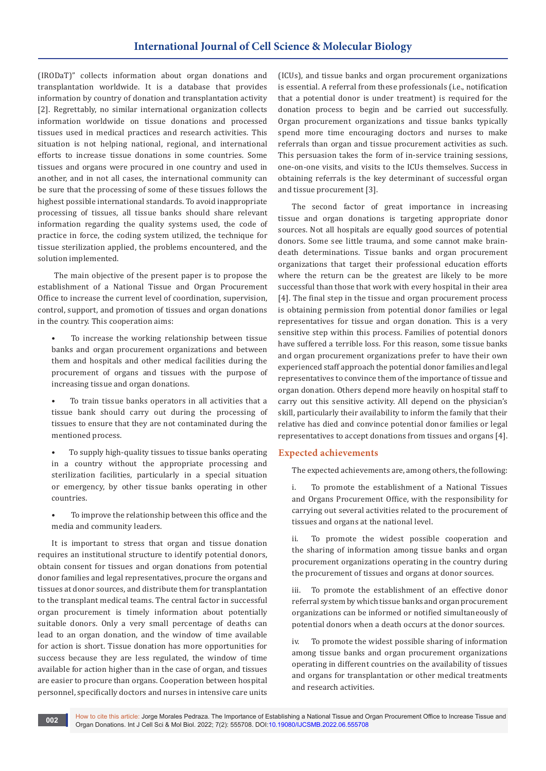(IRODaT)" collects information about organ donations and transplantation worldwide. It is a database that provides information by country of donation and transplantation activity [2]. Regrettably, no similar international organization collects information worldwide on tissue donations and processed tissues used in medical practices and research activities. This situation is not helping national, regional, and international efforts to increase tissue donations in some countries. Some tissues and organs were procured in one country and used in another, and in not all cases, the international community can be sure that the processing of some of these tissues follows the highest possible international standards. To avoid inappropriate processing of tissues, all tissue banks should share relevant information regarding the quality systems used, the code of practice in force, the coding system utilized, the technique for tissue sterilization applied, the problems encountered, and the solution implemented.

 The main objective of the present paper is to propose the establishment of a National Tissue and Organ Procurement Office to increase the current level of coordination, supervision, control, support, and promotion of tissues and organ donations in the country. This cooperation aims:

- To increase the working relationship between tissue banks and organ procurement organizations and between them and hospitals and other medical facilities during the procurement of organs and tissues with the purpose of increasing tissue and organ donations.
- To train tissue banks operators in all activities that a tissue bank should carry out during the processing of tissues to ensure that they are not contaminated during the mentioned process.
- To supply high-quality tissues to tissue banks operating in a country without the appropriate processing and sterilization facilities, particularly in a special situation or emergency, by other tissue banks operating in other countries.
- To improve the relationship between this office and the media and community leaders.

It is important to stress that organ and tissue donation requires an institutional structure to identify potential donors, obtain consent for tissues and organ donations from potential donor families and legal representatives, procure the organs and tissues at donor sources, and distribute them for transplantation to the transplant medical teams. The central factor in successful organ procurement is timely information about potentially suitable donors. Only a very small percentage of deaths can lead to an organ donation, and the window of time available for action is short. Tissue donation has more opportunities for success because they are less regulated, the window of time available for action higher than in the case of organ, and tissues are easier to procure than organs. Cooperation between hospital personnel, specifically doctors and nurses in intensive care units (ICUs), and tissue banks and organ procurement organizations is essential. A referral from these professionals (i.e., notification that a potential donor is under treatment) is required for the donation process to begin and be carried out successfully. Organ procurement organizations and tissue banks typically spend more time encouraging doctors and nurses to make referrals than organ and tissue procurement activities as such. This persuasion takes the form of in-service training sessions, one-on-one visits, and visits to the ICUs themselves. Success in obtaining referrals is the key determinant of successful organ and tissue procurement [3].

The second factor of great importance in increasing tissue and organ donations is targeting appropriate donor sources. Not all hospitals are equally good sources of potential donors. Some see little trauma, and some cannot make braindeath determinations. Tissue banks and organ procurement organizations that target their professional education efforts where the return can be the greatest are likely to be more successful than those that work with every hospital in their area [4]. The final step in the tissue and organ procurement process is obtaining permission from potential donor families or legal representatives for tissue and organ donation. This is a very sensitive step within this process. Families of potential donors have suffered a terrible loss. For this reason, some tissue banks and organ procurement organizations prefer to have their own experienced staff approach the potential donor families and legal representatives to convince them of the importance of tissue and organ donation. Others depend more heavily on hospital staff to carry out this sensitive activity. All depend on the physician's skill, particularly their availability to inform the family that their relative has died and convince potential donor families or legal representatives to accept donations from tissues and organs [4].

## **Expected achievements**

The expected achievements are, among others, the following:

i. To promote the establishment of a National Tissues and Organs Procurement Office, with the responsibility for carrying out several activities related to the procurement of tissues and organs at the national level.

ii. To promote the widest possible cooperation and the sharing of information among tissue banks and organ procurement organizations operating in the country during the procurement of tissues and organs at donor sources.

iii. To promote the establishment of an effective donor referral system by which tissue banks and organ procurement organizations can be informed or notified simultaneously of potential donors when a death occurs at the donor sources.

iv. To promote the widest possible sharing of information among tissue banks and organ procurement organizations operating in different countries on the availability of tissues and organs for transplantation or other medical treatments and research activities.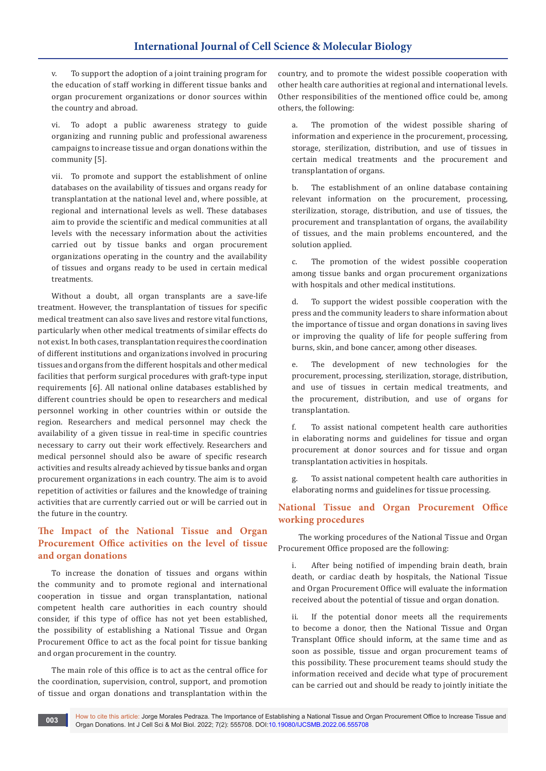v. To support the adoption of a joint training program for the education of staff working in different tissue banks and organ procurement organizations or donor sources within the country and abroad.

vi. To adopt a public awareness strategy to guide organizing and running public and professional awareness campaigns to increase tissue and organ donations within the community [5].

vii. To promote and support the establishment of online databases on the availability of tissues and organs ready for transplantation at the national level and, where possible, at regional and international levels as well. These databases aim to provide the scientific and medical communities at all levels with the necessary information about the activities carried out by tissue banks and organ procurement organizations operating in the country and the availability of tissues and organs ready to be used in certain medical treatments.

Without a doubt, all organ transplants are a save-life treatment. However, the transplantation of tissues for specific medical treatment can also save lives and restore vital functions, particularly when other medical treatments of similar effects do not exist. In both cases, transplantation requires the coordination of different institutions and organizations involved in procuring tissues and organs from the different hospitals and other medical facilities that perform surgical procedures with graft-type input requirements [6]. All national online databases established by different countries should be open to researchers and medical personnel working in other countries within or outside the region. Researchers and medical personnel may check the availability of a given tissue in real-time in specific countries necessary to carry out their work effectively. Researchers and medical personnel should also be aware of specific research activities and results already achieved by tissue banks and organ procurement organizations in each country. The aim is to avoid repetition of activities or failures and the knowledge of training activities that are currently carried out or will be carried out in the future in the country.

## **The Impact of the National Tissue and Organ Procurement Office activities on the level of tissue and organ donations**

To increase the donation of tissues and organs within the community and to promote regional and international cooperation in tissue and organ transplantation, national competent health care authorities in each country should consider, if this type of office has not yet been established, the possibility of establishing a National Tissue and Organ Procurement Office to act as the focal point for tissue banking and organ procurement in the country.

The main role of this office is to act as the central office for the coordination, supervision, control, support, and promotion of tissue and organ donations and transplantation within the country, and to promote the widest possible cooperation with other health care authorities at regional and international levels. Other responsibilities of the mentioned office could be, among others, the following:

a. The promotion of the widest possible sharing of information and experience in the procurement, processing, storage, sterilization, distribution, and use of tissues in certain medical treatments and the procurement and transplantation of organs.

b. The establishment of an online database containing relevant information on the procurement, processing, sterilization, storage, distribution, and use of tissues, the procurement and transplantation of organs, the availability of tissues, and the main problems encountered, and the solution applied.

c. The promotion of the widest possible cooperation among tissue banks and organ procurement organizations with hospitals and other medical institutions.

d. To support the widest possible cooperation with the press and the community leaders to share information about the importance of tissue and organ donations in saving lives or improving the quality of life for people suffering from burns, skin, and bone cancer, among other diseases.

e. The development of new technologies for the procurement, processing, sterilization, storage, distribution, and use of tissues in certain medical treatments, and the procurement, distribution, and use of organs for transplantation.

f. To assist national competent health care authorities in elaborating norms and guidelines for tissue and organ procurement at donor sources and for tissue and organ transplantation activities in hospitals.

g. To assist national competent health care authorities in elaborating norms and guidelines for tissue processing.

## **National Tissue and Organ Procurement Office working procedures**

 The working procedures of the National Tissue and Organ Procurement Office proposed are the following:

i. After being notified of impending brain death, brain death, or cardiac death by hospitals, the National Tissue and Organ Procurement Office will evaluate the information received about the potential of tissue and organ donation.

ii. If the potential donor meets all the requirements to become a donor, then the National Tissue and Organ Transplant Office should inform, at the same time and as soon as possible, tissue and organ procurement teams of this possibility. These procurement teams should study the information received and decide what type of procurement can be carried out and should be ready to jointly initiate the